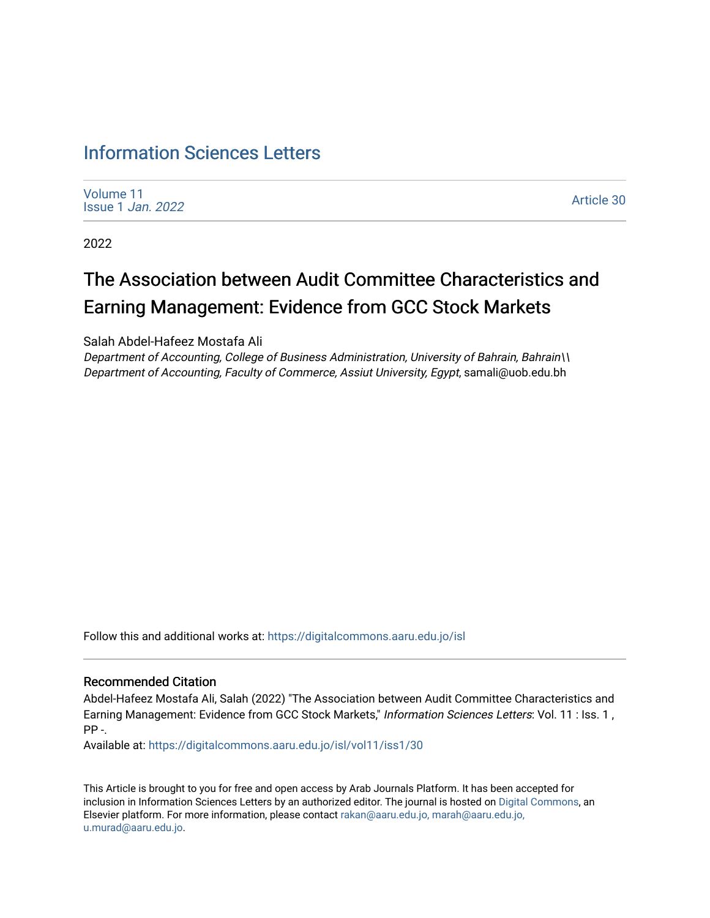# [Information Sciences Letters](https://digitalcommons.aaru.edu.jo/isl)

[Volume 11](https://digitalcommons.aaru.edu.jo/isl/vol11) [Issue 1](https://digitalcommons.aaru.edu.jo/isl/vol11/iss1) Jan. 2022

[Article 30](https://digitalcommons.aaru.edu.jo/isl/vol11/iss1/30) 

2022

# The Association between Audit Committee Characteristics and Earning Management: Evidence from GCC Stock Markets

Salah Abdel-Hafeez Mostafa Ali

Department of Accounting, College of Business Administration, University of Bahrain, Bahrain\\ Department of Accounting, Faculty of Commerce, Assiut University, Egypt, samali@uob.edu.bh

Follow this and additional works at: [https://digitalcommons.aaru.edu.jo/isl](https://digitalcommons.aaru.edu.jo/isl?utm_source=digitalcommons.aaru.edu.jo%2Fisl%2Fvol11%2Fiss1%2F30&utm_medium=PDF&utm_campaign=PDFCoverPages) 

#### Recommended Citation

Abdel-Hafeez Mostafa Ali, Salah (2022) "The Association between Audit Committee Characteristics and Earning Management: Evidence from GCC Stock Markets," Information Sciences Letters: Vol. 11 : Iss. 1 , PP -.

Available at: [https://digitalcommons.aaru.edu.jo/isl/vol11/iss1/30](https://digitalcommons.aaru.edu.jo/isl/vol11/iss1/30?utm_source=digitalcommons.aaru.edu.jo%2Fisl%2Fvol11%2Fiss1%2F30&utm_medium=PDF&utm_campaign=PDFCoverPages)

This Article is brought to you for free and open access by Arab Journals Platform. It has been accepted for inclusion in Information Sciences Letters by an authorized editor. The journal is hosted on [Digital Commons](https://www.elsevier.com/solutions/digital-commons), an Elsevier platform. For more information, please contact [rakan@aaru.edu.jo, marah@aaru.edu.jo,](mailto:rakan@aaru.edu.jo,%20marah@aaru.edu.jo,%20u.murad@aaru.edu.jo)  [u.murad@aaru.edu.jo.](mailto:rakan@aaru.edu.jo,%20marah@aaru.edu.jo,%20u.murad@aaru.edu.jo)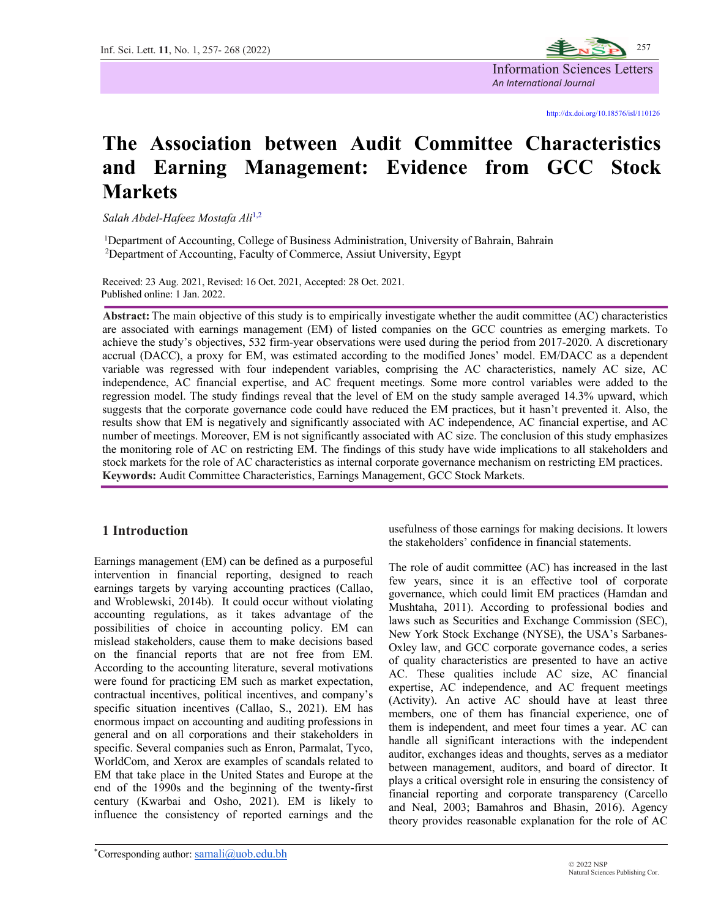

# **The Association between Audit Committee Characteristics and Earning Management: Evidence from GCC Stock Markets**

 *Salah Abdel-Hafeez Mostafa Ali*1,2

<sup>1</sup>Department of Accounting, College of Business Administration, University of Bahrain, Bahrain <sup>2</sup>Department of Accounting, Faculty of Commerce, Assiut University, Egypt

Received: 23 Aug. 2021, Revised: 16 Oct. 2021, Accepted: 28 Oct. 2021. Published online: 1 Jan. 2022.

 **Abstract:** The main objective of this study is to empirically investigate whether the audit committee (AC) characteristics are associated with earnings management (EM) of listed companies on the GCC countries as emerging markets. To achieve the study's objectives, 532 firm-year observations were used during the period from 2017-2020. A discretionary accrual (DACC), a proxy for EM, was estimated according to the modified Jones' model. EM/DACC as a dependent variable was regressed with four independent variables, comprising the AC characteristics, namely AC size, AC independence, AC financial expertise, and AC frequent meetings. Some more control variables were added to the regression model. The study findings reveal that the level of EM on the study sample averaged 14.3% upward, which suggests that the corporate governance code could have reduced the EM practices, but it hasn't prevented it. Also, the results show that EM is negatively and significantly associated with AC independence, AC financial expertise, and AC number of meetings. Moreover, EM is not significantly associated with AC size. The conclusion of this study emphasizes the monitoring role of AC on restricting EM. The findings of this study have wide implications to all stakeholders and stock markets for the role of AC characteristics as internal corporate governance mechanism on restricting EM practices. **Keywords:** Audit Committee Characteristics, Earnings Management, GCC Stock Markets.

#### **1 Introduction**

Earnings management (EM) can be defined as a purposeful intervention in financial reporting, designed to reach earnings targets by varying accounting practices (Callao, and Wroblewski, 2014b). It could occur without violating accounting regulations, as it takes advantage of the possibilities of choice in accounting policy. EM can mislead stakeholders, cause them to make decisions based on the financial reports that are not free from EM. According to the accounting literature, several motivations were found for practicing EM such as market expectation, contractual incentives, political incentives, and company's specific situation incentives (Callao, S., 2021). EM has enormous impact on accounting and auditing professions in general and on all corporations and their stakeholders in specific. Several companies such as Enron, Parmalat, Tyco, WorldCom, and Xerox are examples of scandals related to EM that take place in the United States and Europe at the end of the 1990s and the beginning of the twenty-first century (Kwarbai and Osho, 2021). EM is likely to influence the consistency of reported earnings and the

usefulness of those earnings for making decisions. It lowers the stakeholders' confidence in financial statements.

The role of audit committee (AC) has increased in the last few years, since it is an effective tool of corporate governance, which could limit EM practices (Hamdan and Mushtaha, 2011). According to professional bodies and laws such as Securities and Exchange Commission (SEC), New York Stock Exchange (NYSE), the USA's Sarbanes-Oxley law, and GCC corporate governance codes, a series of quality characteristics are presented to have an active AC. These qualities include AC size, AC financial expertise, AC independence, and AC frequent meetings (Activity). An active AC should have at least three members, one of them has financial experience, one of them is independent, and meet four times a year. AC can handle all significant interactions with the independent auditor, exchanges ideas and thoughts, serves as a mediator between management, auditors, and board of director. It plays a critical oversight role in ensuring the consistency of financial reporting and corporate transparency (Carcello and Neal, 2003; Bamahros and Bhasin, 2016). Agency theory provides reasonable explanation for the role of AC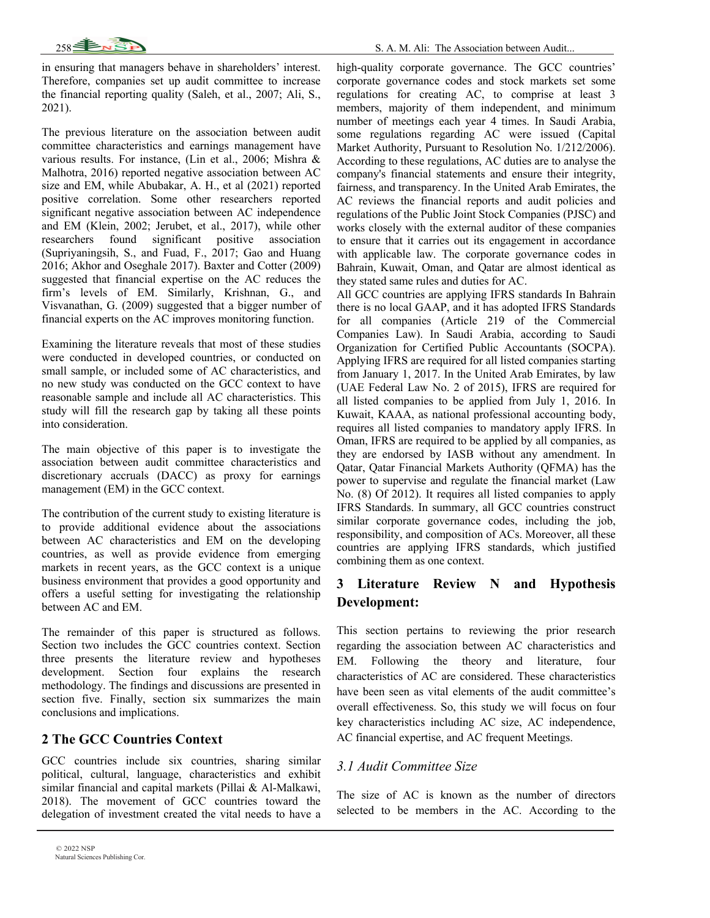

in ensuring that managers behave in shareholders' interest. Therefore, companies set up audit committee to increase the financial reporting quality (Saleh, et al., 2007; Ali, S., 2021).

The previous literature on the association between audit committee characteristics and earnings management have various results. For instance, (Lin et al., 2006; Mishra & Malhotra, 2016) reported negative association between AC size and EM, while Abubakar, A. H., et al (2021) reported positive correlation. Some other researchers reported significant negative association between AC independence and EM (Klein, 2002; Jerubet, et al., 2017), while other researchers found significant positive association (Supriyaningsih, S., and Fuad, F., 2017; Gao and Huang 2016; Akhor and Oseghale 2017). Baxter and Cotter (2009) suggested that financial expertise on the AC reduces the firm's levels of EM. Similarly, Krishnan, G., and Visvanathan, G. (2009) suggested that a bigger number of financial experts on the AC improves monitoring function.

Examining the literature reveals that most of these studies were conducted in developed countries, or conducted on small sample, or included some of AC characteristics, and no new study was conducted on the GCC context to have reasonable sample and include all AC characteristics. This study will fill the research gap by taking all these points into consideration.

The main objective of this paper is to investigate the association between audit committee characteristics and discretionary accruals (DACC) as proxy for earnings management (EM) in the GCC context.

The contribution of the current study to existing literature is to provide additional evidence about the associations between AC characteristics and EM on the developing countries, as well as provide evidence from emerging markets in recent years, as the GCC context is a unique business environment that provides a good opportunity and offers a useful setting for investigating the relationship between AC and EM.

The remainder of this paper is structured as follows. Section two includes the GCC countries context. Section three presents the literature review and hypotheses development. Section four explains the research methodology. The findings and discussions are presented in section five. Finally, section six summarizes the main conclusions and implications.

## **2 The GCC Countries Context**

GCC countries include six countries, sharing similar political, cultural, language, characteristics and exhibit similar financial and capital markets (Pillai & Al-Malkawi, 2018). The movement of GCC countries toward the delegation of investment created the vital needs to have a

high-quality corporate governance. The GCC countries' corporate governance codes and stock markets set some regulations for creating AC, to comprise at least 3 members, majority of them independent, and minimum number of meetings each year 4 times. In Saudi Arabia, some regulations regarding AC were issued (Capital Market Authority, Pursuant to Resolution No. 1/212/2006). According to these regulations, AC duties are to analyse the company's financial statements and ensure their integrity, fairness, and transparency. In the United Arab Emirates, the AC reviews the financial reports and audit policies and regulations of the Public Joint Stock Companies (PJSC) and works closely with the external auditor of these companies to ensure that it carries out its engagement in accordance with applicable law. The corporate governance codes in Bahrain, Kuwait, Oman, and Qatar are almost identical as they stated same rules and duties for AC.

All GCC countries are applying IFRS standards In Bahrain there is no local GAAP, and it has adopted IFRS Standards for all companies (Article 219 of the Commercial Companies Law). In Saudi Arabia, according to Saudi Organization for Certified Public Accountants (SOCPA). Applying IFRS are required for all listed companies starting from January 1, 2017. In the United Arab Emirates, by law (UAE Federal Law No. 2 of 2015), IFRS are required for all listed companies to be applied from July 1, 2016. In Kuwait, KAAA, as national professional accounting body, requires all listed companies to mandatory apply IFRS. In Oman, IFRS are required to be applied by all companies, as they are endorsed by IASB without any amendment. In Qatar, Qatar Financial Markets Authority (QFMA) has the power to supervise and regulate the financial market (Law No. (8) Of 2012). It requires all listed companies to apply IFRS Standards. In summary, all GCC countries construct similar corporate governance codes, including the job, responsibility, and composition of ACs. Moreover, all these countries are applying IFRS standards, which justified combining them as one context.

## **3 Literature Review N and Hypothesis Development:**

This section pertains to reviewing the prior research regarding the association between AC characteristics and EM. Following the theory and literature, four characteristics of AC are considered. These characteristics have been seen as vital elements of the audit committee's overall effectiveness. So, this study we will focus on four key characteristics including AC size, AC independence, AC financial expertise, and AC frequent Meetings.

## *3.1 Audit Committee Size*

The size of AC is known as the number of directors selected to be members in the AC. According to the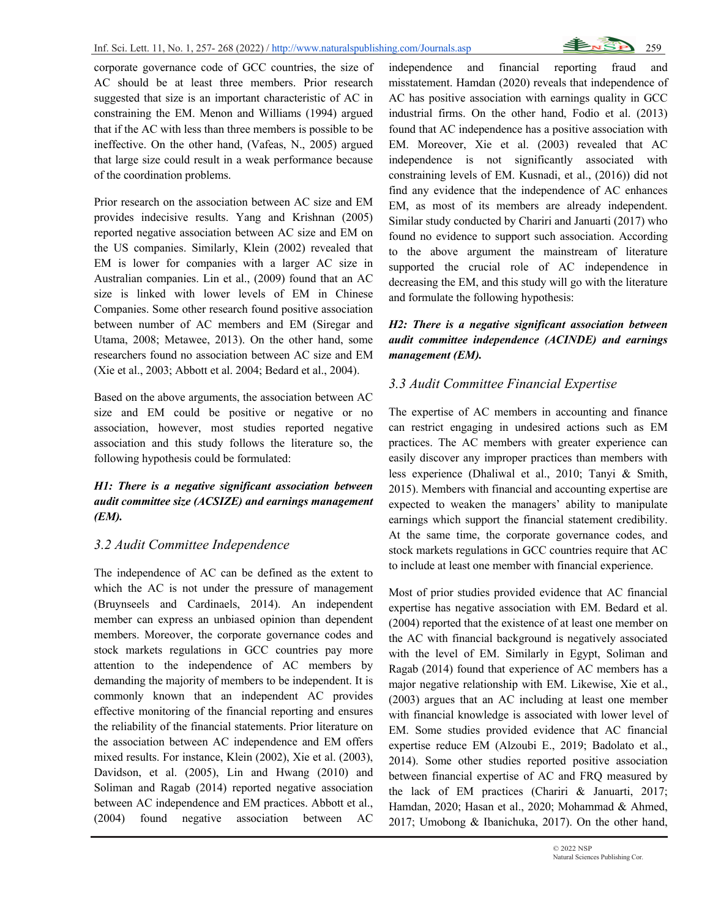

corporate governance code of GCC countries, the size of AC should be at least three members. Prior research suggested that size is an important characteristic of AC in constraining the EM. Menon and Williams (1994) argued that if the AC with less than three members is possible to be ineffective. On the other hand, (Vafeas, N., 2005) argued that large size could result in a weak performance because of the coordination problems.

Prior research on the association between AC size and EM provides indecisive results. Yang and Krishnan (2005) reported negative association between AC size and EM on the US companies. Similarly, Klein (2002) revealed that EM is lower for companies with a larger AC size in Australian companies. Lin et al., (2009) found that an AC size is linked with lower levels of EM in Chinese Companies. Some other research found positive association between number of AC members and EM (Siregar and Utama, 2008; Metawee, 2013). On the other hand, some researchers found no association between AC size and EM (Xie et al., 2003; Abbott et al. 2004; Bedard et al., 2004).

Based on the above arguments, the association between AC size and EM could be positive or negative or no association, however, most studies reported negative association and this study follows the literature so, the following hypothesis could be formulated:

### *H1: There is a negative significant association between audit committee size (ACSIZE) and earnings management (EM).*

#### *3.2 Audit Committee Independence*

The independence of AC can be defined as the extent to which the AC is not under the pressure of management (Bruynseels and Cardinaels, 2014). An independent member can express an unbiased opinion than dependent members. Moreover, the corporate governance codes and stock markets regulations in GCC countries pay more attention to the independence of AC members by demanding the majority of members to be independent. It is commonly known that an independent AC provides effective monitoring of the financial reporting and ensures the reliability of the financial statements. Prior literature on the association between AC independence and EM offers mixed results. For instance, Klein (2002), Xie et al. (2003), Davidson, et al. (2005), Lin and Hwang (2010) and Soliman and Ragab (2014) reported negative association between AC independence and EM practices. Abbott et al., (2004) found negative association between AC

independence and financial reporting fraud and misstatement. Hamdan (2020) reveals that independence of AC has positive association with earnings quality in GCC industrial firms. On the other hand, Fodio et al. (2013) found that AC independence has a positive association with EM. Moreover, Xie et al. (2003) revealed that AC independence is not significantly associated with constraining levels of EM. Kusnadi, et al., (2016)) did not find any evidence that the independence of AC enhances EM, as most of its members are already independent. Similar study conducted by Chariri and Januarti (2017) who found no evidence to support such association. According to the above argument the mainstream of literature supported the crucial role of AC independence in decreasing the EM, and this study will go with the literature and formulate the following hypothesis:

#### *H2: There is a negative significant association between audit committee independence (ACINDE) and earnings management (EM).*

#### *3.3 Audit Committee Financial Expertise*

The expertise of AC members in accounting and finance can restrict engaging in undesired actions such as EM practices. The AC members with greater experience can easily discover any improper practices than members with less experience (Dhaliwal et al., 2010; Tanyi & Smith, 2015). Members with financial and accounting expertise are expected to weaken the managers' ability to manipulate earnings which support the financial statement credibility. At the same time, the corporate governance codes, and stock markets regulations in GCC countries require that AC to include at least one member with financial experience.

Most of prior studies provided evidence that AC financial expertise has negative association with EM. Bedard et al. (2004) reported that the existence of at least one member on the AC with financial background is negatively associated with the level of EM. Similarly in Egypt, Soliman and Ragab (2014) found that experience of AC members has a major negative relationship with EM. Likewise, Xie et al., (2003) argues that an AC including at least one member with financial knowledge is associated with lower level of EM. Some studies provided evidence that AC financial expertise reduce EM (Alzoubi E., 2019; Badolato et al., 2014). Some other studies reported positive association between financial expertise of AC and FRQ measured by the lack of EM practices (Chariri & Januarti, 2017; Hamdan, 2020; Hasan et al., 2020; Mohammad & Ahmed, 2017; Umobong & Ibanichuka, 2017). On the other hand,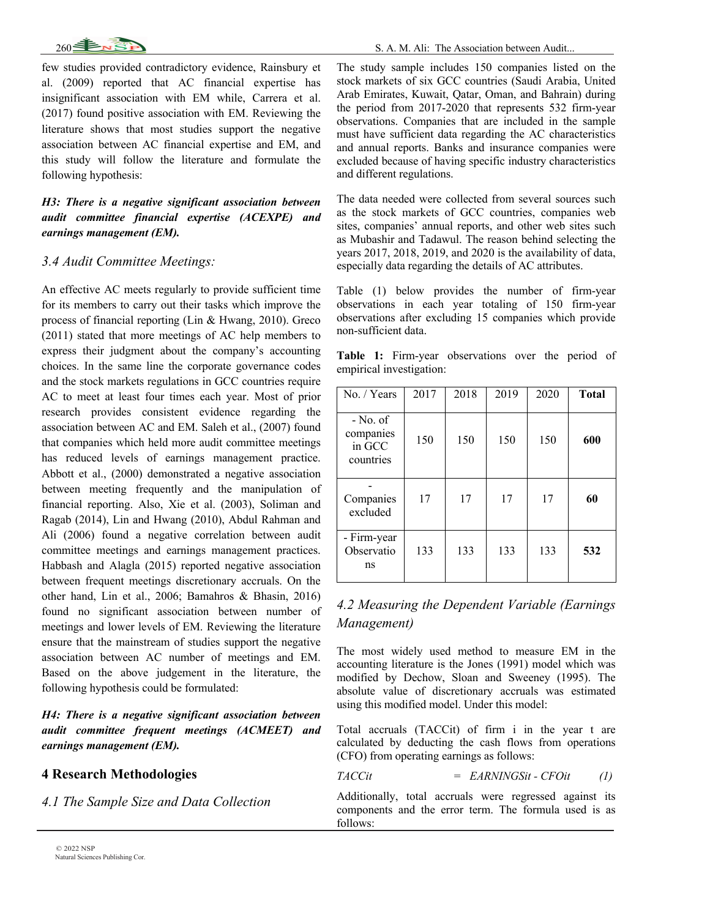

few studies provided contradictory evidence, Rainsbury et al. (2009) reported that AC financial expertise has insignificant association with EM while, Carrera et al. (2017) found positive association with EM. Reviewing the literature shows that most studies support the negative association between AC financial expertise and EM, and this study will follow the literature and formulate the following hypothesis:

#### *H3: There is a negative significant association between audit committee financial expertise (ACEXPE) and earnings management (EM).*

#### *3.4 Audit Committee Meetings:*

An effective AC meets regularly to provide sufficient time for its members to carry out their tasks which improve the process of financial reporting (Lin & Hwang, 2010). Greco (2011) stated that more meetings of AC help members to express their judgment about the company's accounting choices. In the same line the corporate governance codes and the stock markets regulations in GCC countries require AC to meet at least four times each year. Most of prior research provides consistent evidence regarding the association between AC and EM. Saleh et al., (2007) found that companies which held more audit committee meetings has reduced levels of earnings management practice. Abbott et al., (2000) demonstrated a negative association between meeting frequently and the manipulation of financial reporting. Also, Xie et al. (2003), Soliman and Ragab (2014), Lin and Hwang (2010), Abdul Rahman and Ali (2006) found a negative correlation between audit committee meetings and earnings management practices. Habbash and Alagla (2015) reported negative association between frequent meetings discretionary accruals. On the other hand, Lin et al., 2006; Bamahros & Bhasin, 2016) found no significant association between number of meetings and lower levels of EM. Reviewing the literature ensure that the mainstream of studies support the negative association between AC number of meetings and EM. Based on the above judgement in the literature, the following hypothesis could be formulated:

*H4: There is a negative significant association between audit committee frequent meetings (ACMEET) and earnings management (EM).*

#### **4 Research Methodologies**

*4.1 The Sample Size and Data Collection*

The study sample includes 150 companies listed on the stock markets of six GCC countries (Saudi Arabia, United Arab Emirates, Kuwait, Qatar, Oman, and Bahrain) during the period from 2017-2020 that represents 532 firm-year observations. Companies that are included in the sample must have sufficient data regarding the AC characteristics and annual reports. Banks and insurance companies were excluded because of having specific industry characteristics and different regulations.

The data needed were collected from several sources such as the stock markets of GCC countries, companies web sites, companies' annual reports, and other web sites such as Mubashir and Tadawul. The reason behind selecting the years 2017, 2018, 2019, and 2020 is the availability of data, especially data regarding the details of AC attributes.

Table (1) below provides the number of firm-year observations in each year totaling of 150 firm-year observations after excluding 15 companies which provide non-sufficient data.

**Table 1:** Firm-year observations over the period of empirical investigation:

| No. / Years                                    | 2017 | 2018 | 2019 | 2020 | <b>Total</b> |
|------------------------------------------------|------|------|------|------|--------------|
| $-$ No. of<br>companies<br>in GCC<br>countries | 150  | 150  | 150  | 150  | 600          |
| Companies<br>excluded                          | 17   | 17   | 17   | 17   | 60           |
| - Firm-year<br>Observatio<br>ns                | 133  | 133  | 133  | 133  | 532          |

## *4.2 Measuring the Dependent Variable (Earnings Management)*

The most widely used method to measure EM in the accounting literature is the Jones (1991) model which was modified by Dechow, Sloan and Sweeney (1995). The absolute value of discretionary accruals was estimated using this modified model. Under this model:

Total accruals (TACCit) of firm i in the year t are calculated by deducting the cash flows from operations (CFO) from operating earnings as follows:

$$
TACCit = EARNINGSit - CFOit \t(1)
$$

Additionally, total accruals were regressed against its components and the error term. The formula used is as follows: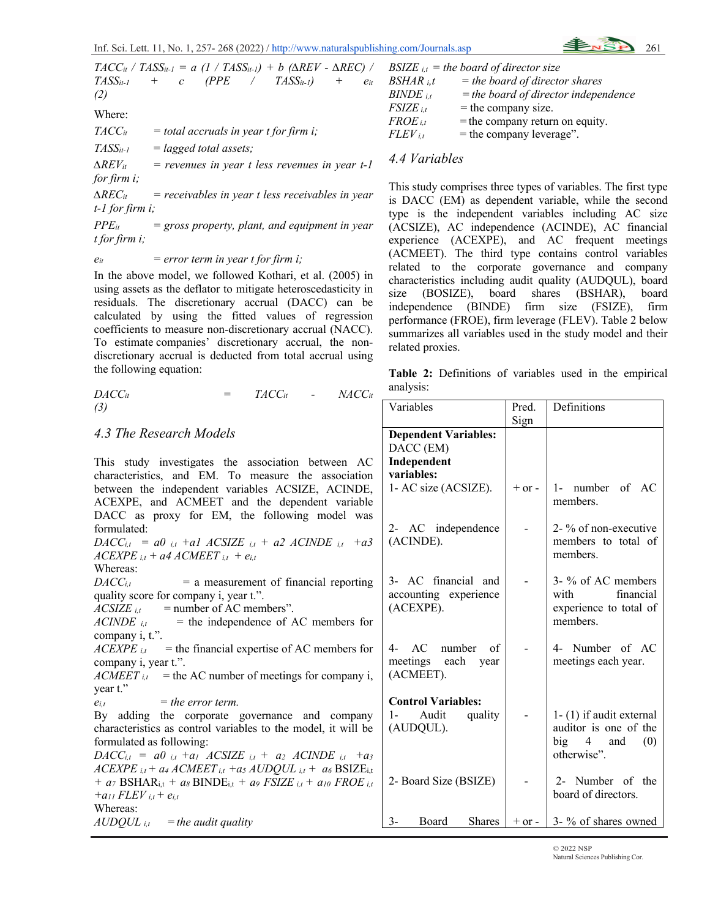$TACC_{it}$  */ TASS*<sub>it-1</sub> = a (1 /  $TASS_{it-1}$ ) + b ( $\triangle REV$  -  $\triangle REC$ )  $TASS_{it-l}$  + c (PPE /  $TASS_{it-l}$ ) +  $e_{it}$ *(2)* Where: *TACCit = total accruals in year t for firm i; TASSit-1 = lagged total assets;*  $\Delta REV_{it}$  = revenues in year t less revenues in year t-1 *for firm i; ∆RECit = receivables in year t less receivables in year t-1 for firm i; PPEit = gross property, plant, and equipment in year t for firm i;*

#### *eit = error term in year t for firm i;*

In the above model, we followed Kothari, et al. (2005) in using assets as the deflator to mitigate heteroscedasticity in residuals. The discretionary accrual (DACC) can be calculated by using the fitted values of regression coefficients to measure non-discretionary accrual (NACC). To estimate companies' discretionary accrual, the nondiscretionary accrual is deducted from total accrual using the following equation:

$$
DACC_{it} = TACC_{it} - NACC_{it}
$$
\n(3)

#### *4.3 The Research Models*

This study investigates the association between characteristics, and EM. To measure the association between the independent variables ACSIZE, ACIN ACEXPE, and ACMEET and the dependent varia DACC as proxy for EM, the following model formulated:  $DACC_{i,t} = a0_{i,t} + a1 \quad ACSIZE_{i,t} + a2 \quad ACINDE_{i,t}$ *ACEXPE i,t + a4 ACMEET i,t + ei,t* Whereas:  $DACC_{i,t}$  = a measurement of financial report quality score for company i, year t.".  $ACSIZE_{it}$  = number of AC members".  $ACINDE$ <sub>it</sub> = the independence of AC members company i, t.".  $ACEXPE_{i,t}$  = the financial expertise of AC members company i, year t.".  $ACMEET_{i,t}$  = the AC number of meetings for company year t."  $e_{i,t}$  = the error term. By adding the corporate governance and comp characteristics as control variables to the model, it will formulated as following:  $DACC_{i,t} = a0_{i,t} + a1$   $ACSIZE_{i,t} + a2$   $ACINDE_{i,t}$  $ACEXPE_{i,t} + a_4 ACMEET_{i,t} + a_5 AUDQUL_{i,t} + a_6 BSL$ *+ a7* **BSHAR**<sub>i,t</sub> *+ a8* **BINDE**<sub>i,t</sub> *+ a9 FSIZE*  $_{i,t}$  *+ a10 FRC +a11 FLEV i,t + ei,t* Whereas:  $AUDQUL$ <sub>*i,t* = the audit quality</sub> **Independent variables:**  (ACINDE). (ACEXPE). (ACMEET). (AUDQUL).

|                     | BSIZE $_{i,t}$ = the board of director size |
|---------------------|---------------------------------------------|
| BSHAR i.t           | $=$ the board of director shares            |
| $\emph{BINDE}$ i.t  | $=$ the board of director independence      |
| FSIZE i.t           | $=$ the company size.                       |
| FROE <sub>i.t</sub> | $=$ the company return on equity.           |
| $FLEV$ i.t          | $=$ the company leverage".                  |

## *4.4 Variables*

This study comprises three types of variables. The first type is DACC (EM) as dependent variable, while the second type is the independent variables including AC size (ACSIZE), AC independence (ACINDE), AC financial experience (ACEXPE), and AC frequent meetings (ACMEET). The third type contains control variables related to the corporate governance and company characteristics including audit quality (AUDQUL), board size (BOSIZE), board shares (BSHAR), board independence (BINDE) firm size (FSIZE), firm performance (FROE), firm leverage (FLEV). Table 2 below summarizes all variables used in the study model and their related proxies.

**Table 2:** Definitions of variables used in the empirical analysis:

| ∪C <i>it</i>              | Variables                                                 | Pred.      | Definitions                                                       |
|---------------------------|-----------------------------------------------------------|------------|-------------------------------------------------------------------|
|                           |                                                           | Sign       |                                                                   |
|                           | <b>Dependent Variables:</b>                               |            |                                                                   |
|                           | DACC (EM)                                                 |            |                                                                   |
| AC                        | Independent                                               |            |                                                                   |
| tion                      | variables:                                                |            |                                                                   |
| DE,<br>able               | 1- AC size (ACSIZE).                                      | $+$ or $-$ | 1- number of AC<br>members.                                       |
| was                       | 2- AC independence                                        |            | 2- % of non-executive                                             |
| $+a3$                     | (ACINDE).                                                 |            | members to total of<br>members.                                   |
| ting                      | 3- AC financial and<br>accounting experience<br>(ACEXPE). |            | 3- % of AC members<br>with<br>financial<br>experience to total of |
| for                       |                                                           |            | members.                                                          |
| s for                     | 4- AC number of                                           |            | 4- Number of AC                                                   |
| 1y i,                     | meetings each year<br>(ACMEET).                           |            | meetings each year.                                               |
|                           | <b>Control Variables:</b>                                 |            |                                                                   |
| any                       | 1- Audit<br>quality                                       |            | $1 - (1)$ if audit external                                       |
| 1 be                      | (AUDQUL).                                                 |            | auditor is one of the<br>big 4 and $(0)$                          |
| $+a_3$<br>$\rm{ZE}_{i,t}$ |                                                           |            | otherwise".                                                       |
| $\n  E_{i,t}\n$           | 2- Board Size (BSIZE)                                     |            | 2- Number of the<br>board of directors.                           |
|                           | $3-$<br>Board Shares                                      |            | $+$ or -   3- % of shares owned                                   |

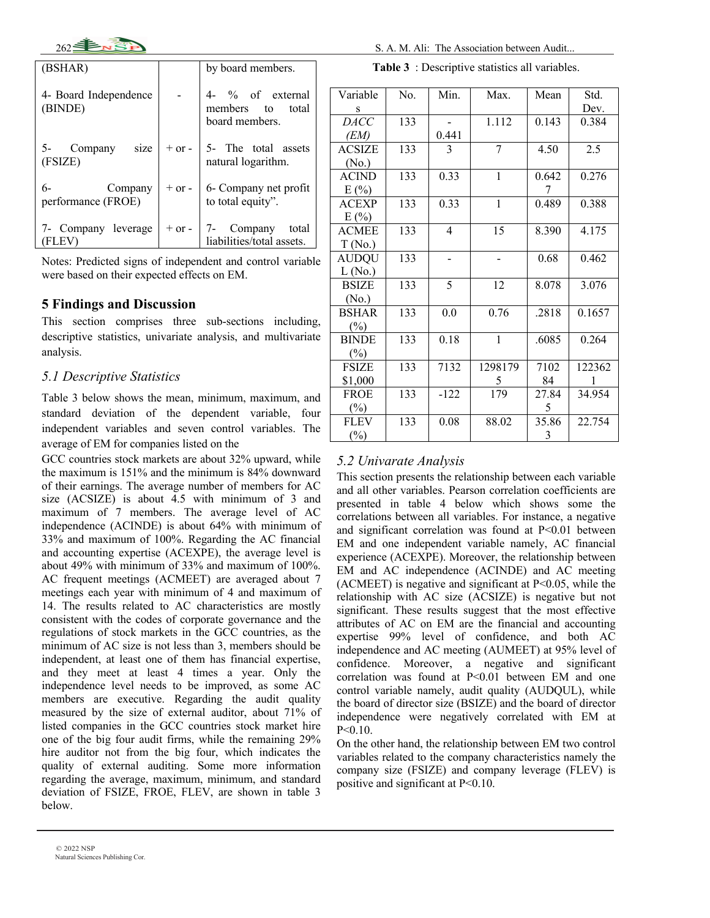

| (BSHAR)                             |            | by board members.                                      |
|-------------------------------------|------------|--------------------------------------------------------|
| 4- Board Independence<br>(BINDE)    |            | 4- % of external<br>members to total<br>board members. |
| 5- Company size<br>(FSIZE)          | $+$ or $-$ | 5- The total assets<br>natural logarithm.              |
| 6-<br>Company<br>performance (FROE) | $+$ or $-$ | 6- Company net profit<br>to total equity".             |
| 7- Company leverage<br>FLEV         | $+$ or $-$ | 7- Company total<br>liabilities/total assets.          |

Notes: Predicted signs of independent and control variable were based on their expected effects on EM.

### **5 Findings and Discussion**

This section comprises three sub-sections including, descriptive statistics, univariate analysis, and multivariate analysis.

### *5.1 Descriptive Statistics*

Table 3 below shows the mean, minimum, maximum, and standard deviation of the dependent variable, four independent variables and seven control variables. The average of EM for companies listed on the

GCC countries stock markets are about 32% upward, while the maximum is 151% and the minimum is 84% downward of their earnings. The average number of members for AC size (ACSIZE) is about 4.5 with minimum of 3 and maximum of 7 members. The average level of AC independence (ACINDE) is about 64% with minimum of 33% and maximum of 100%. Regarding the AC financial and accounting expertise (ACEXPE), the average level is about 49% with minimum of 33% and maximum of 100%. AC frequent meetings (ACMEET) are averaged about 7 meetings each year with minimum of 4 and maximum of 14. The results related to AC characteristics are mostly consistent with the codes of corporate governance and the regulations of stock markets in the GCC countries, as the minimum of AC size is not less than 3, members should be independent, at least one of them has financial expertise, and they meet at least 4 times a year. Only the independence level needs to be improved, as some AC members are executive. Regarding the audit quality measured by the size of external auditor, about 71% of listed companies in the GCC countries stock market hire one of the big four audit firms, while the remaining 29% hire auditor not from the big four, which indicates the quality of external auditing. Some more information regarding the average, maximum, minimum, and standard deviation of FSIZE, FROE, FLEV, are shown in table 3 below.

**Table 3** : Descriptive statistics all variables.

| Variable      | No. | Min.           | Max.         | Mean  | Std.   |
|---------------|-----|----------------|--------------|-------|--------|
| S             |     |                |              |       | Dev.   |
| <b>DACC</b>   | 133 |                | 1.112        | 0.143 | 0.384  |
| (EM)          |     | 0.441          |              |       |        |
| <b>ACSIZE</b> | 133 | 3              | 7            | 4.50  | 2.5    |
| (No.)         |     |                |              |       |        |
| <b>ACIND</b>  | 133 | 0.33           | $\mathbf{1}$ | 0.642 | 0.276  |
| E(%)          |     |                |              | 7     |        |
| <b>ACEXP</b>  | 133 | 0.33           | $\mathbf{1}$ | 0.489 | 0.388  |
| E(%)          |     |                |              |       |        |
| <b>ACMEE</b>  | 133 | $\overline{4}$ | 15           | 8.390 | 4.175  |
| T(No.)        |     |                |              |       |        |
| <b>AUDQU</b>  | 133 |                |              | 0.68  | 0.462  |
| L(No.)        |     |                |              |       |        |
| <b>BSIZE</b>  | 133 | 5              | 12           | 8.078 | 3.076  |
| (No.)         |     |                |              |       |        |
| <b>BSHAR</b>  | 133 | 0.0            | 0.76         | .2818 | 0.1657 |
| (%)           |     |                |              |       |        |
| <b>BINDE</b>  | 133 | 0.18           | $\mathbf{1}$ | .6085 | 0.264  |
| (%)           |     |                |              |       |        |
| <b>FSIZE</b>  | 133 | 7132           | 1298179      | 7102  | 122362 |
| \$1,000       |     |                | 5            | 84    |        |
| <b>FROE</b>   | 133 | $-122$         | 179          | 27.84 | 34.954 |
| $(\%)$        |     |                |              | 5     |        |
| <b>FLEV</b>   | 133 | 0.08           | 88.02        | 35.86 | 22.754 |
| $(\%)$        |     |                |              | 3     |        |

#### *5.2 Univarate Analysis*

This section presents the relationship between each variable and all other variables. Pearson correlation coefficients are presented in table 4 below which shows some the correlations between all variables. For instance, a negative and significant correlation was found at P<0.01 between EM and one independent variable namely, AC financial experience (ACEXPE). Moreover, the relationship between EM and AC independence (ACINDE) and AC meeting  $(ACMEET)$  is negative and significant at P<0.05, while the relationship with AC size (ACSIZE) is negative but not significant. These results suggest that the most effective attributes of AC on EM are the financial and accounting expertise 99% level of confidence, and both AC independence and AC meeting (AUMEET) at 95% level of confidence. Moreover, a negative and significant correlation was found at P<0.01 between EM and one control variable namely, audit quality (AUDQUL), while the board of director size (BSIZE) and the board of director independence were negatively correlated with EM at  $P < 0.10$ 

On the other hand, the relationship between EM two control variables related to the company characteristics namely the company size (FSIZE) and company leverage (FLEV) is positive and significant at P<0.10.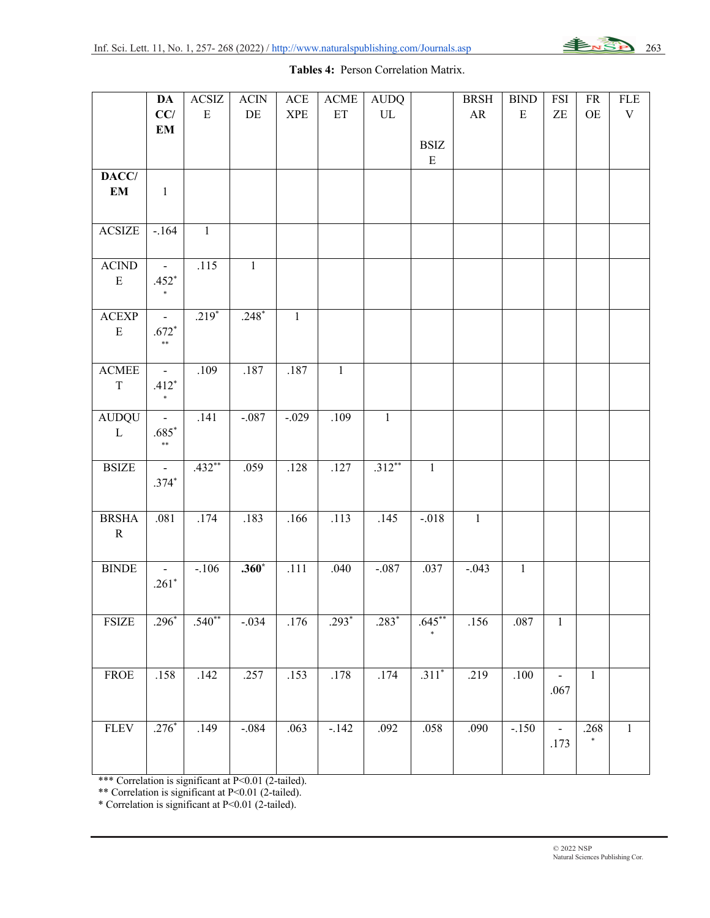

#### **Tables 4:** Person Correlation Matrix.

|                        | <b>DA</b>                | $\operatorname{ACSIZ}$ | <b>ACIN</b>    | $\rm{ACE}$                  | <b>ACME</b>  | <b>AUDQ</b>  |             | <b>BRSH</b>       | $\operatorname{BIND}$ | <b>FSI</b>                 | ${\rm FR}$     | <b>FLE</b>  |
|------------------------|--------------------------|------------------------|----------------|-----------------------------|--------------|--------------|-------------|-------------------|-----------------------|----------------------------|----------------|-------------|
|                        | CC/                      | ${\bf E}$              | DE             | $\ensuremath{\mathsf{XPE}}$ | ET           | ${\rm UL}$   |             | ${\sf AR}$        | ${\bf E}$             | $\ensuremath{\mathsf{ZE}}$ | $\mathrm{OE}$  | $\mathbf V$ |
|                        | $\mathbf{EM}$            |                        |                |                             |              |              |             |                   |                       |                            |                |             |
|                        |                          |                        |                |                             |              |              | <b>BSIZ</b> |                   |                       |                            |                |             |
|                        |                          |                        |                |                             |              |              | ${\bf E}$   |                   |                       |                            |                |             |
| DACC/                  |                          |                        |                |                             |              |              |             |                   |                       |                            |                |             |
| EM                     | $\mathbf{1}$             |                        |                |                             |              |              |             |                   |                       |                            |                |             |
|                        |                          |                        |                |                             |              |              |             |                   |                       |                            |                |             |
| <b>ACSIZE</b>          | $-.164$                  | $\mathbf{1}$           |                |                             |              |              |             |                   |                       |                            |                |             |
|                        |                          |                        |                |                             |              |              |             |                   |                       |                            |                |             |
| $\operatorname{ACIND}$ |                          | .115                   | $\overline{1}$ |                             |              |              |             |                   |                       |                            |                |             |
| ${\bf E}$              | $.452*$                  |                        |                |                             |              |              |             |                   |                       |                            |                |             |
|                        | $\ast$                   |                        |                |                             |              |              |             |                   |                       |                            |                |             |
| ${\bf ACKP}$           | $\overline{\phantom{a}}$ | $.219*$                | $.248*$        | $\mathbf{1}$                |              |              |             |                   |                       |                            |                |             |
| ${\bf E}$              | $.672*$                  |                        |                |                             |              |              |             |                   |                       |                            |                |             |
|                        | $\ast\ast$               |                        |                |                             |              |              |             |                   |                       |                            |                |             |
|                        |                          |                        |                |                             |              |              |             |                   |                       |                            |                |             |
| $\operatorname{ACMEE}$ | $\overline{\phantom{a}}$ | .109                   | .187           | .187                        | $\mathbf{1}$ |              |             |                   |                       |                            |                |             |
| $\mathbf T$            | $.412*$                  |                        |                |                             |              |              |             |                   |                       |                            |                |             |
|                        |                          |                        |                |                             |              |              |             |                   |                       |                            |                |             |
| <b>AUDQU</b>           | $\blacksquare$           | .141                   | $-.087$        | $-.029$                     | .109         | $\mathbf{1}$ |             |                   |                       |                            |                |             |
| $\mathbf L$            | $.685*$<br>$\ast\ast$    |                        |                |                             |              |              |             |                   |                       |                            |                |             |
|                        |                          |                        |                |                             |              |              |             |                   |                       |                            |                |             |
| <b>BSIZE</b>           | $\overline{\phantom{a}}$ | $.432**$               | .059           | .128                        | .127         | $.312**$     | $\,1\,$     |                   |                       |                            |                |             |
|                        | $.374*$                  |                        |                |                             |              |              |             |                   |                       |                            |                |             |
|                        |                          |                        |                |                             |              |              |             |                   |                       |                            |                |             |
| <b>BRSHA</b>           | .081                     | .174                   | .183           | .166                        | .113         | .145         | $-.018$     | $\mathbf{1}$      |                       |                            |                |             |
| ${\bf R}$              |                          |                        |                |                             |              |              |             |                   |                       |                            |                |             |
|                        |                          |                        |                |                             |              |              |             |                   |                       |                            |                |             |
| <b>BINDE</b>           | $\blacksquare$           | $-.106$                | $.360*$        | .111                        | .040         | $-.087$      | .037        | $-.043$           | $\mathbf{1}$          |                            |                |             |
|                        | .261 $*$                 |                        |                |                             |              |              |             |                   |                       |                            |                |             |
|                        |                          |                        |                |                             |              |              |             |                   |                       |                            |                |             |
| <b>FSIZE</b>           | $.296*$                  | $.540**$               | $-.034$        | .176                        | $.293*$      | $.283*$      | $.645***$   | $\overline{.}156$ | .087                  | $\mathbf{1}$               |                |             |
|                        |                          |                        |                |                             |              |              |             |                   |                       |                            |                |             |
|                        |                          |                        |                |                             |              |              |             |                   |                       |                            |                |             |
| <b>FROE</b>            | .158                     | .142                   | .257           | .153                        | .178         | .174         | $.311*$     | .219              | .100                  |                            | $\overline{1}$ |             |
|                        |                          |                        |                |                             |              |              |             |                   |                       | .067                       |                |             |
|                        |                          |                        |                |                             |              |              |             |                   |                       |                            |                |             |
| <b>FLEV</b>            | $.276*$                  | .149                   | $-0.084$       | .063                        | $-.142$      | .092         | .058        | .090              | $-.150$               | $\blacksquare$             | .268           | $\,1\,$     |
|                        |                          |                        |                |                             |              |              |             |                   |                       | .173                       | $\ast$         |             |
|                        |                          |                        |                |                             |              |              |             |                   |                       |                            |                |             |
|                        |                          |                        |                |                             |              |              |             |                   |                       |                            |                |             |

\*\*\* Correlation is significant at P<0.01 (2-tailed).

\*\* Correlation is significant at P<0.01 (2-tailed).

\* Correlation is significant at P<0.01 (2-tailed).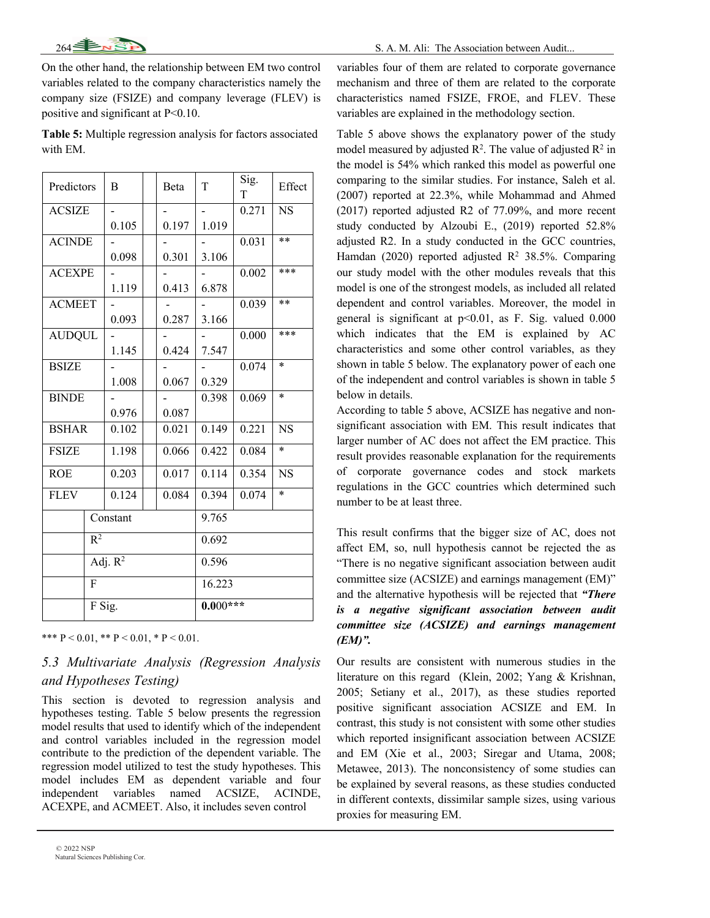On the other hand, the relationship between EM two control variables related to the company characteristics namely the company size (FSIZE) and company leverage (FLEV) is positive and significant at P<0.10.

**Table 5:** Multiple regression analysis for factors associated with EM.

| Predictors                | B          | Beta  | T      | Sig.<br>T | Effect    |  |  |
|---------------------------|------------|-------|--------|-----------|-----------|--|--|
| <b>ACSIZE</b>             |            |       |        | 0.271     | <b>NS</b> |  |  |
|                           | 0.105      | 0.197 | 1.019  |           |           |  |  |
| <b>ACINDE</b>             |            |       |        | 0.031     | $**$      |  |  |
|                           | 0.098      | 0.301 | 3.106  |           |           |  |  |
| <b>ACEXPE</b>             |            |       |        | 0.002     | ***       |  |  |
|                           | 1.119      | 0.413 | 6.878  |           |           |  |  |
| <b>ACMEET</b>             |            |       |        | 0.039     | $**$      |  |  |
|                           | 0.093      | 0.287 | 3.166  |           |           |  |  |
| <b>AUDQUL</b>             |            |       |        | 0.000     | ***       |  |  |
|                           | 1.145      | 0.424 | 7.547  |           |           |  |  |
| <b>BSIZE</b>              |            |       |        | 0.074     | $\ast$    |  |  |
|                           | 1.008      | 0.067 | 0.329  |           |           |  |  |
| <b>BINDE</b>              |            |       | 0.398  | 0.069     | $\ast$    |  |  |
|                           | 0.976      | 0.087 |        |           |           |  |  |
| <b>BSHAR</b>              | 0.102      | 0.021 | 0.149  | 0.221     | <b>NS</b> |  |  |
| <b>FSIZE</b>              | 1.198      | 0.066 | 0.422  | 0.084     | $\ast$    |  |  |
| <b>ROE</b>                | 0.203      | 0.017 | 0.114  | 0.354     | <b>NS</b> |  |  |
| <b>FLEV</b>               | 0.124      | 0.084 | 0.394  | 0.074     | $\ast$    |  |  |
|                           | Constant   |       |        | 9.765     |           |  |  |
| $\overline{\mathrm{R}^2}$ |            |       | 0.692  |           |           |  |  |
| $\overline{Adj. R^2}$     |            |       | 0.596  |           |           |  |  |
| $\mathbf{F}$              |            |       | 16.223 |           |           |  |  |
| F Sig.                    | $0.000***$ |       |        |           |           |  |  |

\*\*\*  $P < 0.01$ , \*\*  $P < 0.01$ , \*  $P < 0.01$ .

## *5.3 Multivariate Analysis (Regression Analysis and Hypotheses Testing)*

This section is devoted to regression analysis and hypotheses testing. Table 5 below presents the regression model results that used to identify which of the independent and control variables included in the regression model contribute to the prediction of the dependent variable. The regression model utilized to test the study hypotheses. This model includes EM as dependent variable and four independent variables named ACSIZE, ACINDE, ACEXPE, and ACMEET. Also, it includes seven control

variables four of them are related to corporate governance mechanism and three of them are related to the corporate characteristics named FSIZE, FROE, and FLEV. These variables are explained in the methodology section.

Table 5 above shows the explanatory power of the study model measured by adjusted  $\mathbb{R}^2$ . The value of adjusted  $\mathbb{R}^2$  in the model is 54% which ranked this model as powerful one comparing to the similar studies. For instance, Saleh et al. (2007) reported at 22.3%, while Mohammad and Ahmed (2017) reported adjusted R2 of 77.09%, and more recent study conducted by Alzoubi E., (2019) reported 52.8% adjusted R2. In a study conducted in the GCC countries, Hamdan (2020) reported adjusted  $R^2$  38.5%. Comparing our study model with the other modules reveals that this model is one of the strongest models, as included all related dependent and control variables. Moreover, the model in general is significant at p<0.01, as F. Sig. valued 0.000 which indicates that the EM is explained by AC characteristics and some other control variables, as they shown in table 5 below. The explanatory power of each one of the independent and control variables is shown in table 5 below in details.

According to table 5 above, ACSIZE has negative and nonsignificant association with EM. This result indicates that larger number of AC does not affect the EM practice. This result provides reasonable explanation for the requirements of corporate governance codes and stock markets regulations in the GCC countries which determined such number to be at least three.

This result confirms that the bigger size of AC, does not affect EM, so, null hypothesis cannot be rejected the as "There is no negative significant association between audit committee size (ACSIZE) and earnings management (EM)" and the alternative hypothesis will be rejected that *"There is a negative significant association between audit committee size (ACSIZE) and earnings management (EM)".*

Our results are consistent with numerous studies in the literature on this regard (Klein, 2002; Yang & Krishnan, 2005; Setiany et al., 2017), as these studies reported positive significant association ACSIZE and EM. In contrast, this study is not consistent with some other studies which reported insignificant association between ACSIZE and EM (Xie et al., 2003; Siregar and Utama, 2008; Metawee, 2013). The nonconsistency of some studies can be explained by several reasons, as these studies conducted in different contexts, dissimilar sample sizes, using various proxies for measuring EM.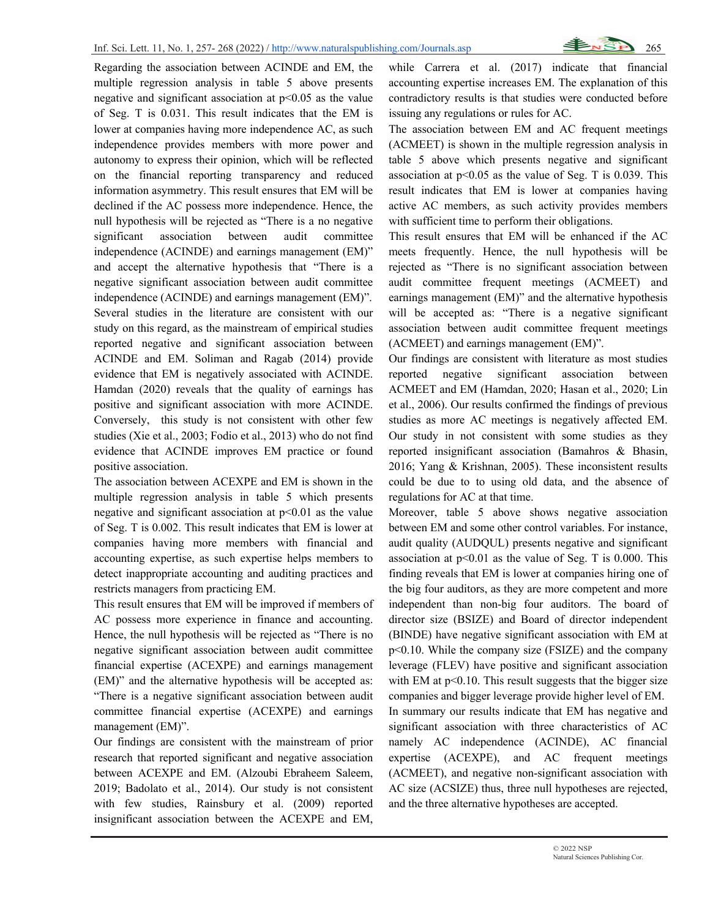Regarding the association between ACINDE and EM, the multiple regression analysis in table 5 above presents negative and significant association at  $p<0.05$  as the value of Seg. T is 0.031. This result indicates that the EM is lower at companies having more independence AC, as such independence provides members with more power and autonomy to express their opinion, which will be reflected on the financial reporting transparency and reduced information asymmetry. This result ensures that EM will be declined if the AC possess more independence. Hence, the null hypothesis will be rejected as "There is a no negative significant association between audit committee independence (ACINDE) and earnings management (EM)" and accept the alternative hypothesis that "There is a negative significant association between audit committee independence (ACINDE) and earnings management (EM)". Several studies in the literature are consistent with our study on this regard, as the mainstream of empirical studies reported negative and significant association between ACINDE and EM. Soliman and Ragab (2014) provide evidence that EM is negatively associated with ACINDE. Hamdan (2020) reveals that the quality of earnings has positive and significant association with more ACINDE. Conversely, this study is not consistent with other few studies (Xie et al., 2003; Fodio et al., 2013) who do not find evidence that ACINDE improves EM practice or found positive association.

The association between ACEXPE and EM is shown in the multiple regression analysis in table 5 which presents negative and significant association at  $p<0.01$  as the value of Seg. T is 0.002. This result indicates that EM is lower at companies having more members with financial and accounting expertise, as such expertise helps members to detect inappropriate accounting and auditing practices and restricts managers from practicing EM.

This result ensures that EM will be improved if members of AC possess more experience in finance and accounting. Hence, the null hypothesis will be rejected as "There is no negative significant association between audit committee financial expertise (ACEXPE) and earnings management (EM)" and the alternative hypothesis will be accepted as: "There is a negative significant association between audit committee financial expertise (ACEXPE) and earnings management (EM)".

Our findings are consistent with the mainstream of prior research that reported significant and negative association between ACEXPE and EM. (Alzoubi Ebraheem Saleem, 2019; Badolato et al., 2014). Our study is not consistent with few studies, Rainsbury et al. (2009) reported insignificant association between the ACEXPE and EM,

while Carrera et al. (2017) indicate that financial accounting expertise increases EM. The explanation of this contradictory results is that studies were conducted before issuing any regulations or rules for AC.

The association between EM and AC frequent meetings (ACMEET) is shown in the multiple regression analysis in table 5 above which presents negative and significant association at  $p<0.05$  as the value of Seg. T is 0.039. This result indicates that EM is lower at companies having active AC members, as such activity provides members with sufficient time to perform their obligations.

This result ensures that EM will be enhanced if the AC meets frequently. Hence, the null hypothesis will be rejected as "There is no significant association between audit committee frequent meetings (ACMEET) and earnings management (EM)" and the alternative hypothesis will be accepted as: "There is a negative significant association between audit committee frequent meetings (ACMEET) and earnings management (EM)".

Our findings are consistent with literature as most studies reported negative significant association between ACMEET and EM (Hamdan, 2020; Hasan et al., 2020; Lin et al., 2006). Our results confirmed the findings of previous studies as more AC meetings is negatively affected EM. Our study in not consistent with some studies as they reported insignificant association (Bamahros & Bhasin, 2016; Yang & Krishnan, 2005). These inconsistent results could be due to to using old data, and the absence of regulations for AC at that time.

Moreover, table 5 above shows negative association between EM and some other control variables. For instance, audit quality (AUDQUL) presents negative and significant association at  $p<0.01$  as the value of Seg. T is 0.000. This finding reveals that EM is lower at companies hiring one of the big four auditors, as they are more competent and more independent than non-big four auditors. The board of director size (BSIZE) and Board of director independent (BINDE) have negative significant association with EM at p<0.10. While the company size (FSIZE) and the company leverage (FLEV) have positive and significant association with EM at  $p<0.10$ . This result suggests that the bigger size companies and bigger leverage provide higher level of EM. In summary our results indicate that EM has negative and significant association with three characteristics of AC namely AC independence (ACINDE), AC financial expertise (ACEXPE), and AC frequent meetings (ACMEET), and negative non-significant association with AC size (ACSIZE) thus, three null hypotheses are rejected, and the three alternative hypotheses are accepted.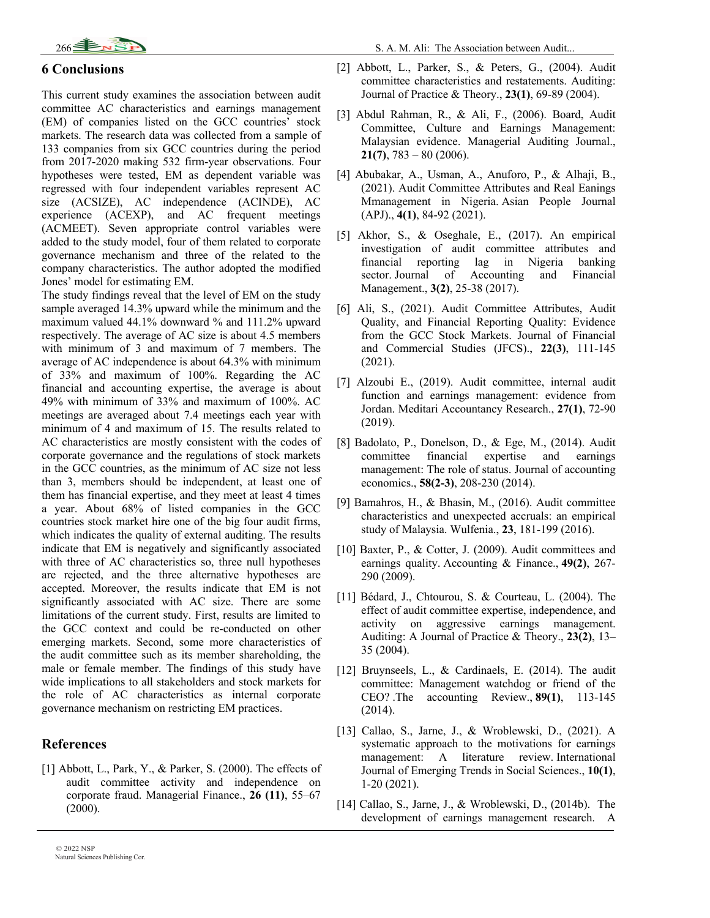

#### **6 Conclusions**

This current study examines the association between audit committee AC characteristics and earnings management (EM) of companies listed on the GCC countries' stock markets. The research data was collected from a sample of 133 companies from six GCC countries during the period from 2017-2020 making 532 firm-year observations. Four hypotheses were tested, EM as dependent variable was regressed with four independent variables represent AC size (ACSIZE), AC independence (ACINDE), AC experience (ACEXP), and AC frequent meetings (ACMEET). Seven appropriate control variables were added to the study model, four of them related to corporate governance mechanism and three of the related to the company characteristics. The author adopted the modified Jones' model for estimating EM.

The study findings reveal that the level of EM on the study sample averaged 14.3% upward while the minimum and the maximum valued 44.1% downward % and 111.2% upward respectively. The average of AC size is about 4.5 members with minimum of 3 and maximum of 7 members. The average of AC independence is about 64.3% with minimum of 33% and maximum of 100%. Regarding the AC financial and accounting expertise, the average is about 49% with minimum of 33% and maximum of 100%. AC meetings are averaged about 7.4 meetings each year with minimum of 4 and maximum of 15. The results related to AC characteristics are mostly consistent with the codes of corporate governance and the regulations of stock markets in the GCC countries, as the minimum of AC size not less than 3, members should be independent, at least one of them has financial expertise, and they meet at least 4 times a year. About 68% of listed companies in the GCC countries stock market hire one of the big four audit firms, which indicates the quality of external auditing. The results indicate that EM is negatively and significantly associated with three of AC characteristics so, three null hypotheses are rejected, and the three alternative hypotheses are accepted. Moreover, the results indicate that EM is not significantly associated with AC size. There are some limitations of the current study. First, results are limited to the GCC context and could be re-conducted on other emerging markets. Second, some more characteristics of the audit committee such as its member shareholding, the male or female member. The findings of this study have wide implications to all stakeholders and stock markets for the role of AC characteristics as internal corporate governance mechanism on restricting EM practices.

#### **References**

[1] Abbott, L., Park, Y., & Parker, S. (2000). The effects of audit committee activity and independence on corporate fraud. Managerial Finance., **26 (11)**, 55–67 (2000).

- [2] Abbott, L., Parker, S., & Peters, G., (2004). Audit committee characteristics and restatements. Auditing: Journal of Practice & Theory., **23(1)**, 69-89 (2004).
- [3] Abdul Rahman, R., & Ali, F., (2006). Board, Audit Committee, Culture and Earnings Management: Malaysian evidence. Managerial Auditing Journal., **21(7)**, 783 – 80 (2006).
- [4] Abubakar, A., Usman, A., Anuforo, P., & Alhaji, B., (2021). Audit Committee Attributes and Real Eanings Mmanagement in Nigeria. Asian People Journal (APJ)., **4(1)**, 84-92 (2021).
- [5] Akhor, S., & Oseghale, E., (2017). An empirical investigation of audit committee attributes and financial reporting lag in Nigeria banking sector. Journal of Accounting and Financial Management., **3(2)**, 25-38 (2017).
- [6] Ali, S., (2021). Audit Committee Attributes, Audit Quality, and Financial Reporting Quality: Evidence from the GCC Stock Markets. Journal of Financial and Commercial Studies (JFCS)., **22(3)**, 111-145 (2021).
- [7] Alzoubi E., (2019). Audit committee, internal audit function and earnings management: evidence from Jordan. Meditari Accountancy Research., **27(1)**, 72-90 (2019).
- [8] Badolato, P., Donelson, D., & Ege, M., (2014). Audit committee financial expertise and earnings management: The role of status. Journal of accounting economics., **58(2-3)**, 208-230 (2014).
- [9] Bamahros, H., & Bhasin, M., (2016). Audit committee characteristics and unexpected accruals: an empirical study of Malaysia. Wulfenia., **23**, 181-199 (2016).
- [10] Baxter, P., & Cotter, J. (2009). Audit committees and earnings quality. Accounting & Finance., **49(2)**, 267- 290 (2009).
- [11] Bédard, J., Chtourou, S. & Courteau, L. (2004). The effect of audit committee expertise, independence, and activity on aggressive earnings management. Auditing: A Journal of Practice & Theory., **23(2)**, 13– 35 (2004).
- [12] Bruynseels, L., & Cardinaels, E. (2014). The audit committee: Management watchdog or friend of the CEO? .The accounting Review., **89(1)**, 113-145 (2014).
- [13] Callao, S., Jarne, J., & Wroblewski, D., (2021). A systematic approach to the motivations for earnings management: A literature review. International Journal of Emerging Trends in Social Sciences., **10(1)**, 1-20 (2021).
- [14] Callao, S., Jarne, J., & Wroblewski, D., (2014b). The development of earnings management research. A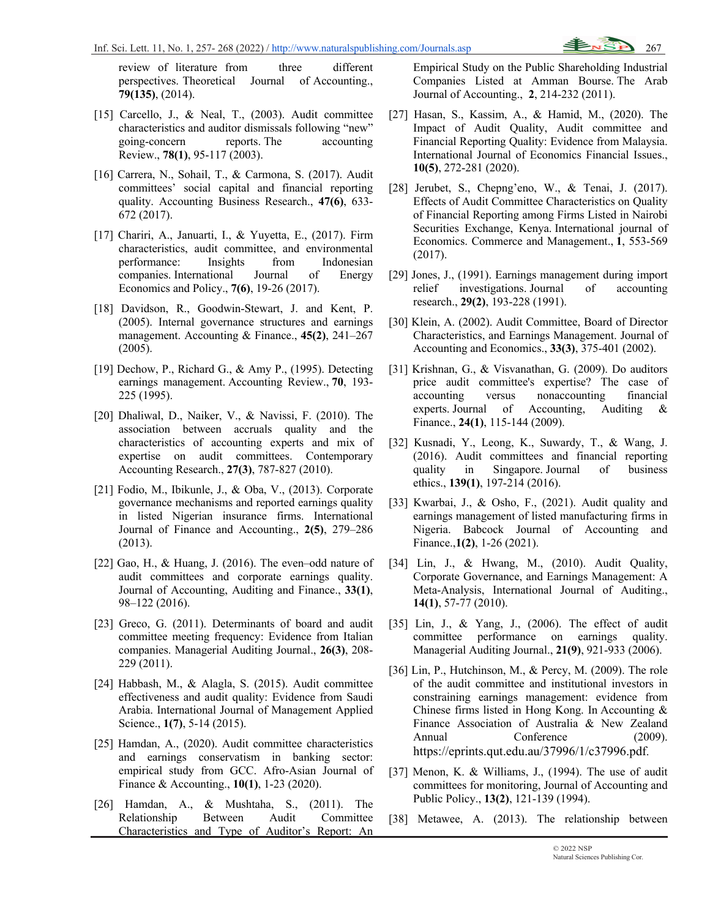review of literature from three different perspectives. Theoretical Journal of Accounting., **79(135)**, (2014).

- [15] Carcello, J., & Neal, T., (2003). Audit committee characteristics and auditor dismissals following "new" going-concern reports. The accounting Review., **78(1)**, 95-117 (2003).
- [16] Carrera, N., Sohail, T., & Carmona, S. (2017). Audit committees' social capital and financial reporting quality. Accounting Business Research., **47(6)**, 633- 672 (2017).
- [17] Chariri, A., Januarti, I., & Yuyetta, E., (2017). Firm characteristics, audit committee, and environmental performance: Insights from Indonesian companies. International Journal of Energy Economics and Policy., **7(6)**, 19-26 (2017).
- [18] Davidson, R., Goodwin-Stewart, J. and Kent, P. (2005). Internal governance structures and earnings management. Accounting & Finance., **45(2)**, 241–267 (2005).
- [19] Dechow, P., Richard G., & Amy P., (1995). Detecting earnings management. Accounting Review., **70**, 193- 225 (1995).
- [20] Dhaliwal, D., Naiker, V., & Navissi, F. (2010). The association between accruals quality and the characteristics of accounting experts and mix of expertise on audit committees. Contemporary Accounting Research., **27(3)**, 787-827 (2010).
- [21] Fodio, M., Ibikunle, J., & Oba, V., (2013). Corporate governance mechanisms and reported earnings quality in listed Nigerian insurance firms. International Journal of Finance and Accounting., **2(5)**, 279–286 (2013).
- [22] Gao, H., & Huang, J. (2016). The even–odd nature of audit committees and corporate earnings quality. Journal of Accounting, Auditing and Finance., **33(1)**, 98–122 (2016).
- [23] Greco, G. (2011). Determinants of board and audit committee meeting frequency: Evidence from Italian companies. Managerial Auditing Journal., **26(3)**, 208- 229 (2011).
- [24] Habbash, M., & Alagla, S. (2015). Audit committee effectiveness and audit quality: Evidence from Saudi Arabia. International Journal of Management Applied Science., **1(7)**, 5-14 (2015).
- [25] Hamdan, A., (2020). Audit committee characteristics and earnings conservatism in banking sector: empirical study from GCC. Afro-Asian Journal of Finance & Accounting., **10(1)**, 1-23 (2020).
- [26] Hamdan, A., & Mushtaha, S., (2011). The Relationship Between Audit Committee Characteristics and Type of Auditor's Report: An

Empirical Study on the Public Shareholding Industrial Companies Listed at Amman Bourse. The Arab Journal of Accounting., **2**, 214-232 (2011).

- [27] Hasan, S., Kassim, A., & Hamid, M., (2020). The Impact of Audit Quality, Audit committee and Financial Reporting Quality: Evidence from Malaysia. International Journal of Economics Financial Issues., **10(5)**, 272-281 (2020).
- [28] Jerubet, S., Chepng'eno, W., & Tenai, J. (2017). Effects of Audit Committee Characteristics on Quality of Financial Reporting among Firms Listed in Nairobi Securities Exchange, Kenya. International journal of Economics. Commerce and Management., **1**, 553-569 (2017).
- [29] Jones, J., (1991). Earnings management during import relief investigations. Journal of accounting research., **29(2)**, 193-228 (1991).
- [30] Klein, A. (2002). Audit Committee, Board of Director Characteristics, and Earnings Management. Journal of Accounting and Economics., **33(3)**, 375-401 (2002).
- [31] Krishnan, G., & Visvanathan, G. (2009). Do auditors price audit committee's expertise? The case of accounting versus nonaccounting financial experts. Journal of Accounting, Auditing & Finance., **24(1)**, 115-144 (2009).
- [32] Kusnadi, Y., Leong, K., Suwardy, T., & Wang, J. (2016). Audit committees and financial reporting quality in Singapore. Journal of business ethics., **139(1)**, 197-214 (2016).
- [33] Kwarbai, J., & Osho, F., (2021). Audit quality and earnings management of listed manufacturing firms in Nigeria. Babcock Journal of Accounting and Finance.,**1(2)**, 1-26 (2021).
- [34] Lin, J., & Hwang, M., (2010). Audit Quality, Corporate Governance, and Earnings Management: A Meta-Analysis, International Journal of Auditing., **14(1)**, 57-77 (2010).
- [35] Lin, J., & Yang, J., (2006). The effect of audit committee performance on earnings quality. Managerial Auditing Journal., **21(9)**, 921-933 (2006).
- [36] Lin, P., Hutchinson, M., & Percy, M. (2009). The role of the audit committee and institutional investors in constraining earnings management: evidence from Chinese firms listed in Hong Kong. In Accounting & Finance Association of Australia & New Zealand Annual Conference (2009). https://eprints.qut.edu.au/37996/1/c37996.pdf.
- [37] Menon, K. & Williams, J., (1994). The use of audit committees for monitoring, Journal of Accounting and Public Policy., **13(2)**, 121-139 (1994).
- [38] Metawee, A. (2013). The relationship between